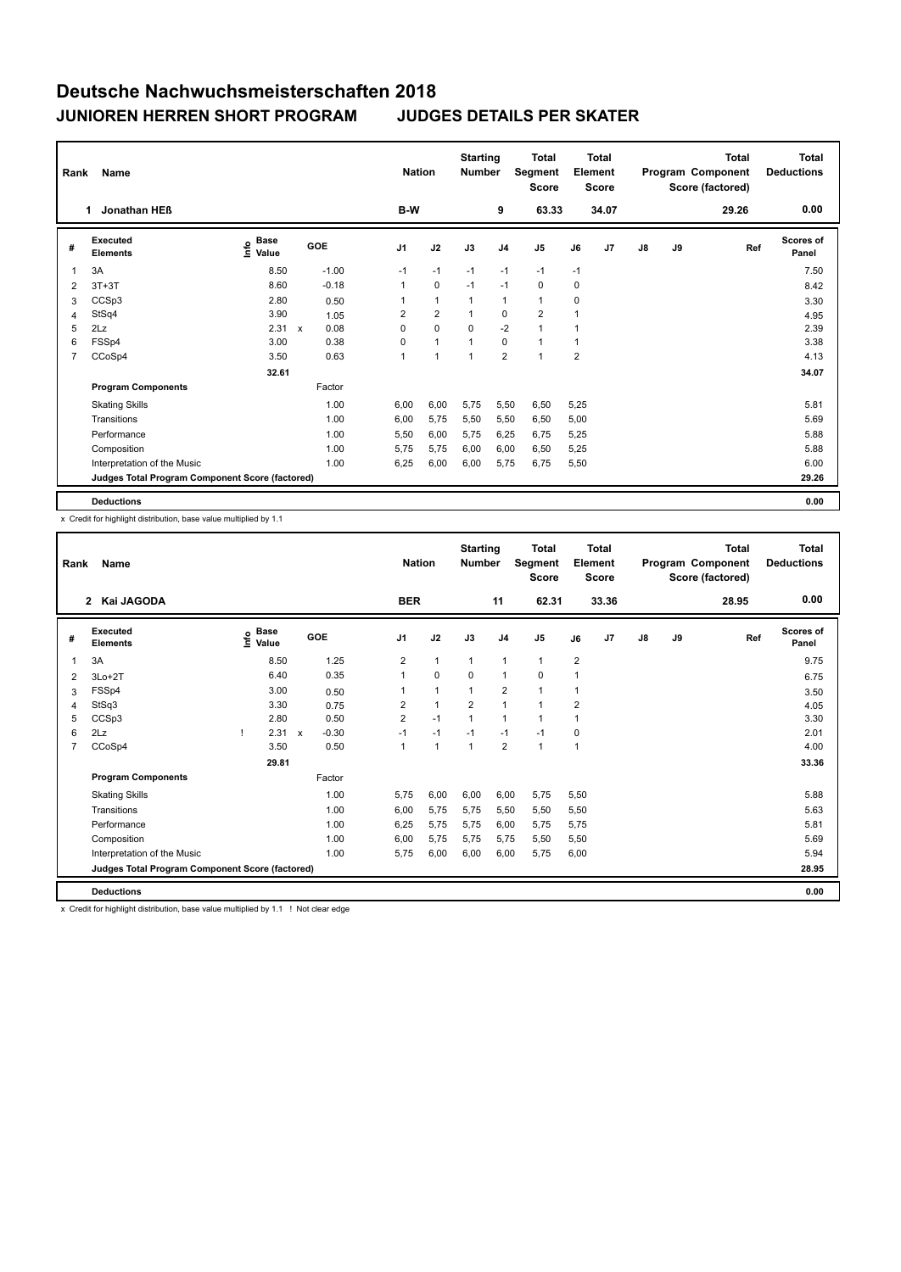| Rank           | Name                                            |                                  |                           |         |                | <b>Nation</b>  | <b>Starting</b><br><b>Number</b> |                | <b>Total</b><br>Segment<br><b>Score</b> |                | <b>Total</b><br>Element<br><b>Score</b> |               |    | <b>Total</b><br>Program Component<br>Score (factored) | Total<br><b>Deductions</b> |
|----------------|-------------------------------------------------|----------------------------------|---------------------------|---------|----------------|----------------|----------------------------------|----------------|-----------------------------------------|----------------|-----------------------------------------|---------------|----|-------------------------------------------------------|----------------------------|
|                | Jonathan HEB<br>1                               |                                  |                           |         | B-W            |                |                                  | 9              | 63.33                                   |                | 34.07                                   |               |    | 29.26                                                 | 0.00                       |
| #              | Executed<br><b>Elements</b>                     | <b>Base</b><br>e Base<br>⊆ Value | GOE                       |         | J <sub>1</sub> | J2             | J3                               | J <sub>4</sub> | J5                                      | J6             | J7                                      | $\mathsf{J}8$ | J9 | Ref                                                   | <b>Scores of</b><br>Panel  |
| $\overline{1}$ | 3A                                              | 8.50                             |                           | $-1.00$ | $-1$           | $-1$           | $-1$                             | $-1$           | $-1$                                    | $-1$           |                                         |               |    |                                                       | 7.50                       |
| 2              | $3T+3T$                                         | 8.60                             |                           | $-0.18$ | $\mathbf{1}$   | $\pmb{0}$      | $-1$                             | $-1$           | 0                                       | 0              |                                         |               |    |                                                       | 8.42                       |
| 3              | CCSp3                                           | 2.80                             |                           | 0.50    | 1              | $\mathbf{1}$   | $\mathbf{1}$                     | $\mathbf{1}$   | $\mathbf{1}$                            | 0              |                                         |               |    |                                                       | 3.30                       |
| 4              | StSq4                                           | 3.90                             |                           | 1.05    | $\overline{2}$ | $\overline{2}$ | $\mathbf{1}$                     | $\mathbf 0$    | $\overline{2}$                          |                |                                         |               |    |                                                       | 4.95                       |
| 5              | 2Lz                                             | 2.31                             | $\boldsymbol{\mathsf{x}}$ | 0.08    | 0              | $\mathbf 0$    | $\mathbf 0$                      | $-2$           | $\mathbf{1}$                            |                |                                         |               |    |                                                       | 2.39                       |
| 6              | FSSp4                                           | 3.00                             |                           | 0.38    | 0              | $\mathbf{1}$   |                                  | $\mathbf 0$    | $\mathbf{1}$                            | 1              |                                         |               |    |                                                       | 3.38                       |
| $\overline{7}$ | CCoSp4                                          | 3.50                             |                           | 0.63    | $\mathbf{1}$   | $\overline{1}$ | 1                                | $\overline{2}$ | $\mathbf{1}$                            | $\overline{2}$ |                                         |               |    |                                                       | 4.13                       |
|                |                                                 | 32.61                            |                           |         |                |                |                                  |                |                                         |                |                                         |               |    |                                                       | 34.07                      |
|                | <b>Program Components</b>                       |                                  |                           | Factor  |                |                |                                  |                |                                         |                |                                         |               |    |                                                       |                            |
|                | <b>Skating Skills</b>                           |                                  |                           | 1.00    | 6,00           | 6,00           | 5,75                             | 5,50           | 6,50                                    | 5,25           |                                         |               |    |                                                       | 5.81                       |
|                | Transitions                                     |                                  |                           | 1.00    | 6,00           | 5,75           | 5,50                             | 5,50           | 6,50                                    | 5,00           |                                         |               |    |                                                       | 5.69                       |
|                | Performance                                     |                                  |                           | 1.00    | 5,50           | 6,00           | 5.75                             | 6,25           | 6,75                                    | 5,25           |                                         |               |    |                                                       | 5.88                       |
|                | Composition                                     |                                  |                           | 1.00    | 5.75           | 5,75           | 6,00                             | 6,00           | 6,50                                    | 5,25           |                                         |               |    |                                                       | 5.88                       |
|                | Interpretation of the Music                     |                                  |                           | 1.00    | 6,25           | 6,00           | 6,00                             | 5,75           | 6,75                                    | 5,50           |                                         |               |    |                                                       | 6.00                       |
|                | Judges Total Program Component Score (factored) |                                  |                           |         |                |                |                                  |                |                                         |                |                                         |               |    |                                                       | 29.26                      |
|                | <b>Deductions</b>                               |                                  |                           |         |                |                |                                  |                |                                         |                |                                         |               |    |                                                       | 0.00                       |

x Credit for highlight distribution, base value multiplied by 1.1

| Rank | Name                                            |      |                      |                           |         |                | <b>Nation</b> |              | <b>Starting</b><br><b>Number</b> |                | Total<br>Segment<br><b>Score</b> |                | Total<br>Element<br><b>Score</b> |               |    | Total<br>Program Component<br>Score (factored) | <b>Total</b><br><b>Deductions</b> |
|------|-------------------------------------------------|------|----------------------|---------------------------|---------|----------------|---------------|--------------|----------------------------------|----------------|----------------------------------|----------------|----------------------------------|---------------|----|------------------------------------------------|-----------------------------------|
|      | Kai JAGODA<br>$\mathbf{2}$                      |      |                      |                           |         |                | <b>BER</b>    |              |                                  | 11             | 62.31                            |                | 33.36                            |               |    | 28.95                                          | 0.00                              |
| #    | Executed<br><b>Elements</b>                     | lnfo | <b>Base</b><br>Value |                           | GOE     | J <sub>1</sub> |               | J2           | J3                               | J <sub>4</sub> | J5                               | J6             | J <sub>7</sub>                   | $\mathsf{J}8$ | J9 | Ref                                            | <b>Scores of</b><br>Panel         |
| 1    | 3A                                              |      | 8.50                 |                           | 1.25    | $\overline{2}$ |               | $\mathbf{1}$ | $\mathbf{1}$                     | $\mathbf{1}$   | $\mathbf{1}$                     | $\overline{2}$ |                                  |               |    |                                                | 9.75                              |
| 2    | $3Lo+2T$                                        |      | 6.40                 |                           | 0.35    | 1              |               | $\Omega$     | $\Omega$                         | $\mathbf{1}$   | 0                                | 1              |                                  |               |    |                                                | 6.75                              |
| 3    | FSSp4                                           |      | 3.00                 |                           | 0.50    | 1              |               | $\mathbf{1}$ | $\mathbf{1}$                     | $\overline{2}$ | $\mathbf{1}$                     | 1              |                                  |               |    |                                                | 3.50                              |
| 4    | StSq3                                           |      | 3.30                 |                           | 0.75    | $\overline{2}$ |               | $\mathbf{1}$ | 2                                | $\mathbf{1}$   | $\mathbf{1}$                     | $\overline{2}$ |                                  |               |    |                                                | 4.05                              |
| 5    | CCSp3                                           |      | 2.80                 |                           | 0.50    | $\overline{2}$ |               | $-1$         | $\mathbf{1}$                     | 1              | $\mathbf{1}$                     | 1              |                                  |               |    |                                                | 3.30                              |
| 6    | 2Lz                                             |      | 2.31                 | $\boldsymbol{\mathsf{x}}$ | $-0.30$ | $-1$           |               | $-1$         | $-1$                             | $-1$           | $-1$                             | 0              |                                  |               |    |                                                | 2.01                              |
| 7    | CCoSp4                                          |      | 3.50                 |                           | 0.50    | $\mathbf{1}$   |               | $\mathbf{1}$ | $\mathbf{1}$                     | $\overline{2}$ | $\mathbf{1}$                     | 1              |                                  |               |    |                                                | 4.00                              |
|      |                                                 |      | 29.81                |                           |         |                |               |              |                                  |                |                                  |                |                                  |               |    |                                                | 33.36                             |
|      | <b>Program Components</b>                       |      |                      |                           | Factor  |                |               |              |                                  |                |                                  |                |                                  |               |    |                                                |                                   |
|      | <b>Skating Skills</b>                           |      |                      |                           | 1.00    | 5.75           |               | 6.00         | 6,00                             | 6,00           | 5,75                             | 5.50           |                                  |               |    |                                                | 5.88                              |
|      | Transitions                                     |      |                      |                           | 1.00    | 6,00           |               | 5,75         | 5,75                             | 5,50           | 5,50                             | 5,50           |                                  |               |    |                                                | 5.63                              |
|      | Performance                                     |      |                      |                           | 1.00    | 6,25           |               | 5,75         | 5,75                             | 6,00           | 5,75                             | 5,75           |                                  |               |    |                                                | 5.81                              |
|      | Composition                                     |      |                      |                           | 1.00    | 6,00           |               | 5,75         | 5,75                             | 5.75           | 5,50                             | 5,50           |                                  |               |    |                                                | 5.69                              |
|      | Interpretation of the Music                     |      |                      |                           | 1.00    | 5.75           |               | 6,00         | 6,00                             | 6,00           | 5,75                             | 6,00           |                                  |               |    |                                                | 5.94                              |
|      | Judges Total Program Component Score (factored) |      |                      |                           |         |                |               |              |                                  |                |                                  |                |                                  |               |    |                                                | 28.95                             |
|      | <b>Deductions</b>                               |      |                      |                           |         |                |               |              |                                  |                |                                  |                |                                  |               |    |                                                | 0.00                              |

x Credit for highlight distribution, base value multiplied by 1.1 ! Not clear edge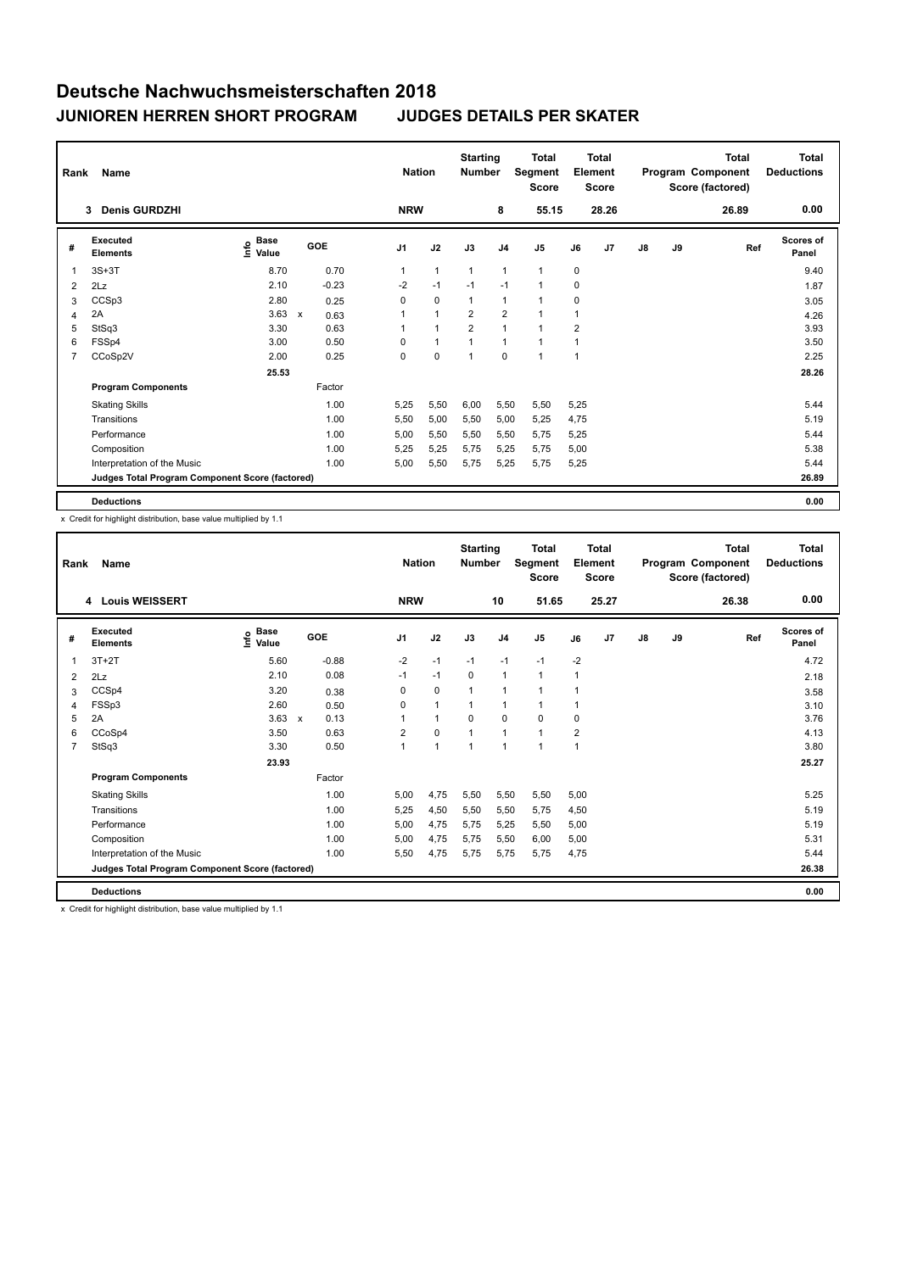| Rank           | Name                                            |                                  |                      | <b>Nation</b>  |              | <b>Starting</b><br><b>Number</b> |                | <b>Total</b><br>Segment<br><b>Score</b> |              | <b>Total</b><br>Element<br><b>Score</b> |               |    | <b>Total</b><br>Program Component<br>Score (factored) | <b>Total</b><br><b>Deductions</b> |
|----------------|-------------------------------------------------|----------------------------------|----------------------|----------------|--------------|----------------------------------|----------------|-----------------------------------------|--------------|-----------------------------------------|---------------|----|-------------------------------------------------------|-----------------------------------|
|                | <b>Denis GURDZHI</b><br>3                       |                                  |                      | <b>NRW</b>     |              |                                  | 8              | 55.15                                   |              | 28.26                                   |               |    | 26.89                                                 | 0.00                              |
| #              | Executed<br><b>Elements</b>                     | <b>Base</b><br>e Base<br>⊆ Value | GOE                  | J <sub>1</sub> | J2           | J3                               | J <sub>4</sub> | J <sub>5</sub>                          | J6           | J7                                      | $\mathsf{J}8$ | J9 | Ref                                                   | <b>Scores of</b><br>Panel         |
| 1              | $3S+3T$                                         | 8.70                             | 0.70                 | 1              | $\mathbf{1}$ | $\mathbf{1}$                     | $\mathbf{1}$   | $\mathbf{1}$                            | 0            |                                         |               |    |                                                       | 9.40                              |
| $\overline{2}$ | 2Lz                                             | 2.10                             | $-0.23$              | $-2$           | $-1$         | $-1$                             | $-1$           | $\mathbf{1}$                            | 0            |                                         |               |    |                                                       | 1.87                              |
| 3              | CCSp3                                           | 2.80                             | 0.25                 | 0              | $\mathbf 0$  | $\mathbf{1}$                     | $\mathbf{1}$   | $\mathbf{1}$                            | 0            |                                         |               |    |                                                       | 3.05                              |
| 4              | 2A                                              | 3.63                             | $\mathsf{x}$<br>0.63 |                | $\mathbf{1}$ | $\overline{2}$                   | $\overline{2}$ | 1                                       | 1            |                                         |               |    |                                                       | 4.26                              |
| 5              | StSq3                                           | 3.30                             | 0.63                 |                | 1            | $\overline{2}$                   | $\overline{1}$ | $\mathbf{1}$                            | 2            |                                         |               |    |                                                       | 3.93                              |
| 6              | FSSp4                                           | 3.00                             | 0.50                 | $\Omega$       | $\mathbf{1}$ |                                  | $\mathbf{1}$   | $\mathbf{1}$                            | 1            |                                         |               |    |                                                       | 3.50                              |
| 7              | CCoSp2V                                         | 2.00                             | 0.25                 | 0              | $\mathbf 0$  | 1                                | $\mathbf 0$    | 1                                       | $\mathbf{1}$ |                                         |               |    |                                                       | 2.25                              |
|                |                                                 | 25.53                            |                      |                |              |                                  |                |                                         |              |                                         |               |    |                                                       | 28.26                             |
|                | <b>Program Components</b>                       |                                  | Factor               |                |              |                                  |                |                                         |              |                                         |               |    |                                                       |                                   |
|                | <b>Skating Skills</b>                           |                                  | 1.00                 | 5,25           | 5,50         | 6,00                             | 5,50           | 5,50                                    | 5,25         |                                         |               |    |                                                       | 5.44                              |
|                | Transitions                                     |                                  | 1.00                 | 5,50           | 5,00         | 5,50                             | 5,00           | 5,25                                    | 4,75         |                                         |               |    |                                                       | 5.19                              |
|                | Performance                                     |                                  | 1.00                 | 5,00           | 5,50         | 5,50                             | 5,50           | 5,75                                    | 5,25         |                                         |               |    |                                                       | 5.44                              |
|                | Composition                                     |                                  | 1.00                 | 5,25           | 5,25         | 5,75                             | 5,25           | 5,75                                    | 5,00         |                                         |               |    |                                                       | 5.38                              |
|                | Interpretation of the Music                     |                                  | 1.00                 | 5,00           | 5,50         | 5,75                             | 5,25           | 5,75                                    | 5,25         |                                         |               |    |                                                       | 5.44                              |
|                | Judges Total Program Component Score (factored) |                                  |                      |                |              |                                  |                |                                         |              |                                         |               |    |                                                       | 26.89                             |
|                | <b>Deductions</b>                               |                                  |                      |                |              |                                  |                |                                         |              |                                         |               |    |                                                       | 0.00                              |

x Credit for highlight distribution, base value multiplied by 1.1

| Rank           | Name                                            |                                  |                                   |                | <b>Nation</b> | <b>Starting</b><br><b>Number</b> |                | Total<br>Segment<br><b>Score</b> |      | Total<br>Element<br><b>Score</b> |               |    | Total<br>Program Component<br>Score (factored) | <b>Total</b><br><b>Deductions</b> |
|----------------|-------------------------------------------------|----------------------------------|-----------------------------------|----------------|---------------|----------------------------------|----------------|----------------------------------|------|----------------------------------|---------------|----|------------------------------------------------|-----------------------------------|
|                | 4 Louis WEISSERT                                |                                  |                                   | <b>NRW</b>     |               |                                  | 10             | 51.65                            |      | 25.27                            |               |    | 26.38                                          | 0.00                              |
| #              | Executed<br><b>Elements</b>                     | <b>Base</b><br>e Base<br>⊆ Value | GOE                               | J <sub>1</sub> | J2            | J3                               | J <sub>4</sub> | J5                               | J6   | J <sub>7</sub>                   | $\mathsf{J}8$ | J9 | Ref                                            | <b>Scores of</b><br>Panel         |
| 1              | $3T+2T$                                         | 5.60                             | $-0.88$                           | $-2$           | $-1$          | $-1$                             | $-1$           | $-1$                             | $-2$ |                                  |               |    |                                                | 4.72                              |
| 2              | 2Lz                                             | 2.10                             | 0.08                              | $-1$           | $-1$          | $\mathbf{0}$                     | $\mathbf{1}$   | $\mathbf{1}$                     | 1    |                                  |               |    |                                                | 2.18                              |
| 3              | CCSp4                                           | 3.20                             | 0.38                              | 0              | $\mathbf 0$   | $\mathbf{1}$                     | $\mathbf{1}$   | $\mathbf{1}$                     | 1    |                                  |               |    |                                                | 3.58                              |
| 4              | FSSp3                                           | 2.60                             | 0.50                              | $\Omega$       | $\mathbf{1}$  | $\mathbf{1}$                     | $\mathbf{1}$   | $\mathbf{1}$                     | 1    |                                  |               |    |                                                | 3.10                              |
| 5              | 2A                                              | 3.63                             | 0.13<br>$\boldsymbol{\mathsf{x}}$ |                | $\mathbf{1}$  | $\Omega$                         | $\mathbf 0$    | 0                                | 0    |                                  |               |    |                                                | 3.76                              |
| 6              | CCoSp4                                          | 3.50                             | 0.63                              | $\overline{2}$ | $\mathbf 0$   | 1                                | $\mathbf{1}$   | 1                                | 2    |                                  |               |    |                                                | 4.13                              |
| $\overline{7}$ | StSq3                                           | 3.30                             | 0.50                              | 1              | 1             | $\mathbf{1}$                     | $\overline{1}$ | 1                                | 1    |                                  |               |    |                                                | 3.80                              |
|                |                                                 | 23.93                            |                                   |                |               |                                  |                |                                  |      |                                  |               |    |                                                | 25.27                             |
|                | <b>Program Components</b>                       |                                  | Factor                            |                |               |                                  |                |                                  |      |                                  |               |    |                                                |                                   |
|                | <b>Skating Skills</b>                           |                                  | 1.00                              | 5.00           | 4.75          | 5,50                             | 5,50           | 5,50                             | 5.00 |                                  |               |    |                                                | 5.25                              |
|                | Transitions                                     |                                  | 1.00                              | 5,25           | 4,50          | 5,50                             | 5,50           | 5,75                             | 4,50 |                                  |               |    |                                                | 5.19                              |
|                | Performance                                     |                                  | 1.00                              | 5,00           | 4,75          | 5,75                             | 5,25           | 5,50                             | 5,00 |                                  |               |    |                                                | 5.19                              |
|                | Composition                                     |                                  | 1.00                              | 5,00           | 4,75          | 5,75                             | 5,50           | 6,00                             | 5,00 |                                  |               |    |                                                | 5.31                              |
|                | Interpretation of the Music                     |                                  | 1.00                              | 5,50           | 4,75          | 5,75                             | 5.75           | 5,75                             | 4,75 |                                  |               |    |                                                | 5.44                              |
|                | Judges Total Program Component Score (factored) |                                  |                                   |                |               |                                  |                |                                  |      |                                  |               |    |                                                | 26.38                             |
|                | <b>Deductions</b>                               |                                  |                                   |                |               |                                  |                |                                  |      |                                  |               |    |                                                | 0.00                              |

x Credit for highlight distribution, base value multiplied by 1.1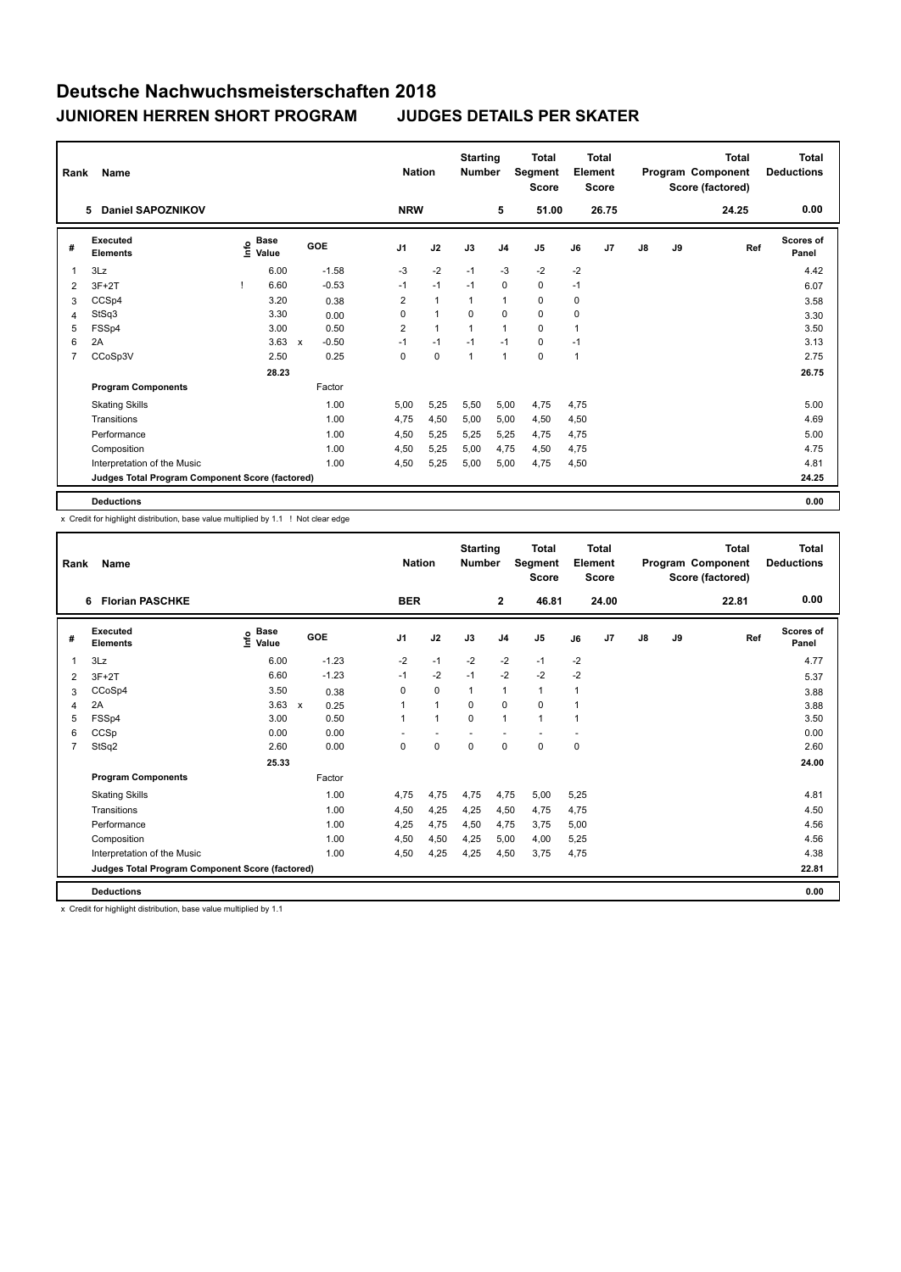| Rank           | Name                                            |                                  |                           |         |                | <b>Nation</b> | <b>Starting</b><br><b>Number</b> |                | <b>Total</b><br>Segment<br><b>Score</b> |      | <b>Total</b><br>Element<br><b>Score</b> |               |    | <b>Total</b><br>Program Component<br>Score (factored) | Total<br><b>Deductions</b> |
|----------------|-------------------------------------------------|----------------------------------|---------------------------|---------|----------------|---------------|----------------------------------|----------------|-----------------------------------------|------|-----------------------------------------|---------------|----|-------------------------------------------------------|----------------------------|
|                | Daniel SAPOZNIKOV<br>5                          |                                  |                           |         | <b>NRW</b>     |               |                                  | 5              | 51.00                                   |      | 26.75                                   |               |    | 24.25                                                 | 0.00                       |
| #              | Executed<br><b>Elements</b>                     | <b>Base</b><br>e Base<br>⊆ Value |                           | GOE     | J <sub>1</sub> | J2            | J3                               | J <sub>4</sub> | J5                                      | J6   | J7                                      | $\mathsf{J}8$ | J9 | Ref                                                   | <b>Scores of</b><br>Panel  |
| $\overline{1}$ | 3Lz                                             | 6.00                             |                           | $-1.58$ | $-3$           | $-2$          | $-1$                             | $-3$           | $-2$                                    | $-2$ |                                         |               |    |                                                       | 4.42                       |
| 2              | $3F+2T$                                         | 6.60                             |                           | $-0.53$ | $-1$           | $-1$          | $-1$                             | 0              | 0                                       | $-1$ |                                         |               |    |                                                       | 6.07                       |
| 3              | CCSp4                                           | 3.20                             |                           | 0.38    | $\overline{2}$ | $\mathbf{1}$  | $\mathbf{1}$                     | $\mathbf{1}$   | 0                                       | 0    |                                         |               |    |                                                       | 3.58                       |
| 4              | StSq3                                           | 3.30                             |                           | 0.00    | $\Omega$       | $\mathbf{1}$  | $\Omega$                         | $\mathbf 0$    | $\mathbf 0$                             | 0    |                                         |               |    |                                                       | 3.30                       |
| 5              | FSSp4                                           | 3.00                             |                           | 0.50    | 2              | 1             |                                  | $\mathbf{1}$   | $\mathbf 0$                             | 1    |                                         |               |    |                                                       | 3.50                       |
| 6              | 2A                                              | 3.63                             | $\boldsymbol{\mathsf{x}}$ | $-0.50$ | $-1$           | $-1$          | $-1$                             | $-1$           | 0                                       | $-1$ |                                         |               |    |                                                       | 3.13                       |
| $\overline{7}$ | CCoSp3V                                         | 2.50                             |                           | 0.25    | 0              | $\mathbf 0$   | 1                                | $\mathbf{1}$   | $\mathbf 0$                             | 1    |                                         |               |    |                                                       | 2.75                       |
|                |                                                 | 28.23                            |                           |         |                |               |                                  |                |                                         |      |                                         |               |    |                                                       | 26.75                      |
|                | <b>Program Components</b>                       |                                  |                           | Factor  |                |               |                                  |                |                                         |      |                                         |               |    |                                                       |                            |
|                | <b>Skating Skills</b>                           |                                  |                           | 1.00    | 5,00           | 5,25          | 5,50                             | 5,00           | 4,75                                    | 4,75 |                                         |               |    |                                                       | 5.00                       |
|                | Transitions                                     |                                  |                           | 1.00    | 4,75           | 4,50          | 5,00                             | 5,00           | 4,50                                    | 4,50 |                                         |               |    |                                                       | 4.69                       |
|                | Performance                                     |                                  |                           | 1.00    | 4,50           | 5,25          | 5.25                             | 5,25           | 4,75                                    | 4,75 |                                         |               |    |                                                       | 5.00                       |
|                | Composition                                     |                                  |                           | 1.00    | 4,50           | 5,25          | 5,00                             | 4,75           | 4,50                                    | 4,75 |                                         |               |    |                                                       | 4.75                       |
|                | Interpretation of the Music                     |                                  |                           | 1.00    | 4,50           | 5,25          | 5,00                             | 5,00           | 4,75                                    | 4,50 |                                         |               |    |                                                       | 4.81                       |
|                | Judges Total Program Component Score (factored) |                                  |                           |         |                |               |                                  |                |                                         |      |                                         |               |    |                                                       | 24.25                      |
|                | <b>Deductions</b>                               |                                  |                           |         |                |               |                                  |                |                                         |      |                                         |               |    |                                                       | 0.00                       |

x Credit for highlight distribution, base value multiplied by 1.1 ! Not clear edge

| Rank | Name                                            |                       |                                   | <b>Nation</b> |              | <b>Starting</b><br><b>Number</b> |                | <b>Total</b><br>Segment<br><b>Score</b> |      | Total<br>Element<br><b>Score</b> |               |    | Total<br>Program Component<br>Score (factored) | <b>Total</b><br><b>Deductions</b> |
|------|-------------------------------------------------|-----------------------|-----------------------------------|---------------|--------------|----------------------------------|----------------|-----------------------------------------|------|----------------------------------|---------------|----|------------------------------------------------|-----------------------------------|
|      | <b>Florian PASCHKE</b><br>6                     |                       |                                   | <b>BER</b>    |              |                                  | $\overline{2}$ | 46.81                                   |      | 24.00                            |               |    | 22.81                                          | 0.00                              |
| #    | Executed<br><b>Elements</b>                     | Base<br>lnfo<br>Value | GOE                               | J1            | J2           | J3                               | J <sub>4</sub> | J5                                      | J6   | J7                               | $\mathsf{J}8$ | J9 | Ref                                            | <b>Scores of</b><br>Panel         |
|      | 3Lz                                             | 6.00                  | $-1.23$                           | $-2$          | $-1$         | $-2$                             | $-2$           | $-1$                                    | $-2$ |                                  |               |    |                                                | 4.77                              |
| 2    | $3F+2T$                                         | 6.60                  | $-1.23$                           | $-1$          | $-2$         | $-1$                             | $-2$           | $-2$                                    | $-2$ |                                  |               |    |                                                | 5.37                              |
| 3    | CCoSp4                                          | 3.50                  | 0.38                              | 0             | $\mathbf 0$  | $\mathbf{1}$                     | $\mathbf{1}$   | $\mathbf{1}$                            | 1    |                                  |               |    |                                                | 3.88                              |
| 4    | 2A                                              | 3.63                  | $\boldsymbol{\mathsf{x}}$<br>0.25 | 1             | $\mathbf{1}$ | 0                                | 0              | 0                                       | 1    |                                  |               |    |                                                | 3.88                              |
| 5    | FSSp4                                           | 3.00                  | 0.50                              | 1             | $\mathbf{1}$ | $\Omega$                         | $\mathbf{1}$   | $\mathbf{1}$                            | 1    |                                  |               |    |                                                | 3.50                              |
| 6    | CCSp                                            | 0.00                  | 0.00                              |               |              |                                  |                |                                         |      |                                  |               |    |                                                | 0.00                              |
| 7    | StSq2                                           | 2.60                  | 0.00                              | $\Omega$      | 0            | $\Omega$                         | 0              | 0                                       | 0    |                                  |               |    |                                                | 2.60                              |
|      |                                                 | 25.33                 |                                   |               |              |                                  |                |                                         |      |                                  |               |    |                                                | 24.00                             |
|      | <b>Program Components</b>                       |                       | Factor                            |               |              |                                  |                |                                         |      |                                  |               |    |                                                |                                   |
|      | <b>Skating Skills</b>                           |                       | 1.00                              | 4.75          | 4,75         | 4,75                             | 4,75           | 5,00                                    | 5,25 |                                  |               |    |                                                | 4.81                              |
|      | Transitions                                     |                       | 1.00                              | 4,50          | 4,25         | 4,25                             | 4,50           | 4,75                                    | 4,75 |                                  |               |    |                                                | 4.50                              |
|      | Performance                                     |                       | 1.00                              | 4.25          | 4.75         | 4,50                             | 4.75           | 3,75                                    | 5,00 |                                  |               |    |                                                | 4.56                              |
|      | Composition                                     |                       | 1.00                              | 4.50          | 4.50         | 4.25                             | 5.00           | 4,00                                    | 5,25 |                                  |               |    |                                                | 4.56                              |
|      | Interpretation of the Music                     |                       | 1.00                              | 4,50          | 4,25         | 4,25                             | 4,50           | 3,75                                    | 4,75 |                                  |               |    |                                                | 4.38                              |
|      | Judges Total Program Component Score (factored) |                       |                                   |               |              |                                  |                |                                         |      |                                  |               |    |                                                | 22.81                             |
|      | <b>Deductions</b>                               |                       |                                   |               |              |                                  |                |                                         |      |                                  |               |    |                                                | 0.00                              |

x Credit for highlight distribution, base value multiplied by 1.1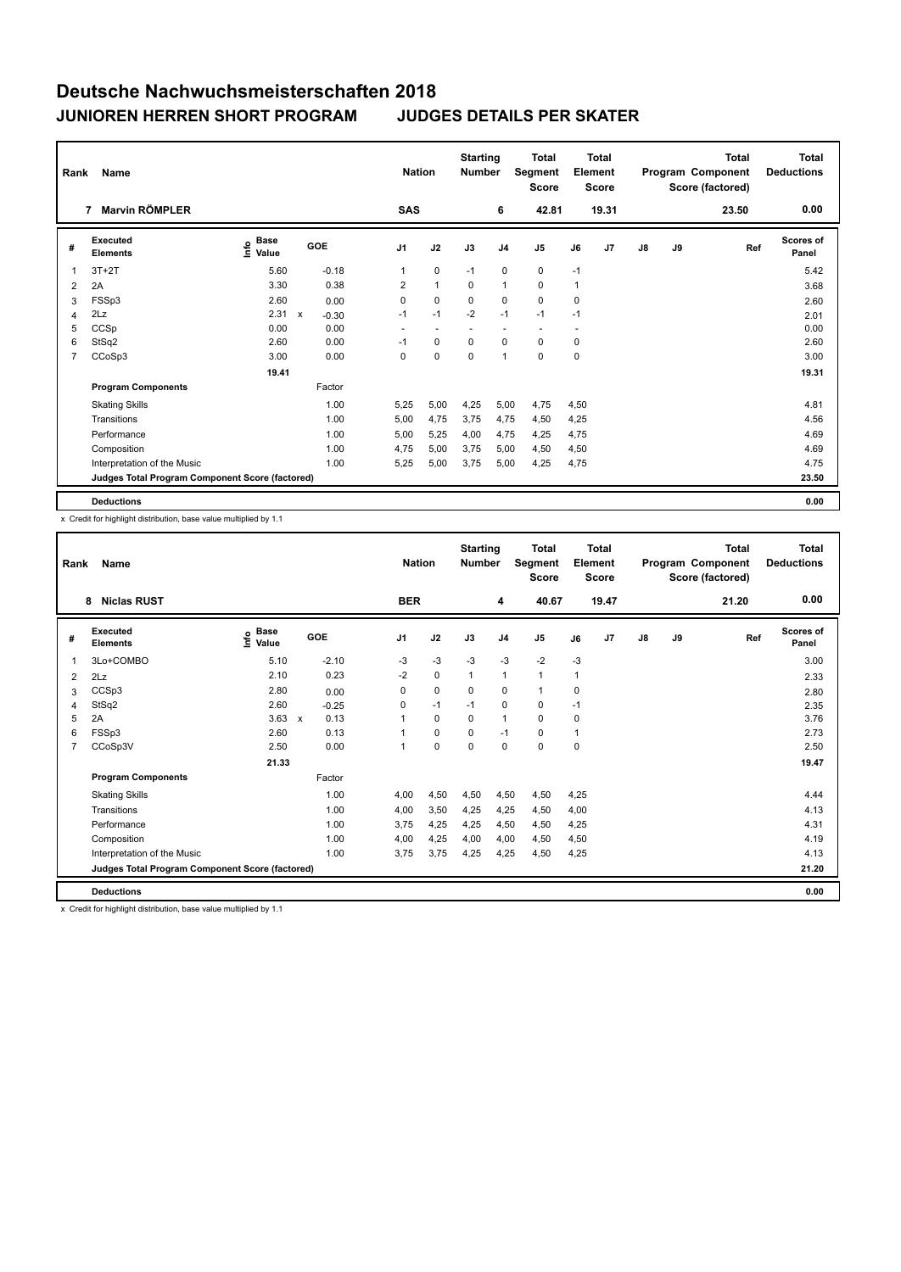| Rank           | Name                                            |                            |              |         | <b>Nation</b>            |                          | <b>Starting</b><br><b>Number</b> |                | <b>Total</b><br>Segment<br><b>Score</b> |                          | <b>Total</b><br>Element<br><b>Score</b> |               |    | <b>Total</b><br>Program Component<br>Score (factored) | <b>Total</b><br><b>Deductions</b> |
|----------------|-------------------------------------------------|----------------------------|--------------|---------|--------------------------|--------------------------|----------------------------------|----------------|-----------------------------------------|--------------------------|-----------------------------------------|---------------|----|-------------------------------------------------------|-----------------------------------|
|                | <b>Marvin RÖMPLER</b><br>7                      |                            |              |         | <b>SAS</b>               |                          |                                  | 6              | 42.81                                   |                          | 19.31                                   |               |    | 23.50                                                 | 0.00                              |
| #              | Executed<br><b>Elements</b>                     | Base<br>$\frac{6}{5}$ Pase | GOE          |         | J <sub>1</sub>           | J2                       | J3                               | J <sub>4</sub> | J <sub>5</sub>                          | J6                       | J7                                      | $\mathsf{J}8$ | J9 | Ref                                                   | <b>Scores of</b><br>Panel         |
| 1              | $3T+2T$                                         | 5.60                       |              | $-0.18$ | $\mathbf{1}$             | $\mathbf 0$              | $-1$                             | $\mathbf 0$    | $\mathbf 0$                             | $-1$                     |                                         |               |    |                                                       | 5.42                              |
| 2              | 2A                                              | 3.30                       |              | 0.38    | $\overline{2}$           | $\mathbf{1}$             | 0                                | $\mathbf{1}$   | $\mathbf 0$                             | $\mathbf{1}$             |                                         |               |    |                                                       | 3.68                              |
| 3              | FSSp3                                           | 2.60                       |              | 0.00    | 0                        | 0                        | 0                                | 0              | $\mathbf 0$                             | $\mathbf 0$              |                                         |               |    |                                                       | 2.60                              |
| 4              | 2Lz                                             | 2.31                       | $\mathsf{x}$ | $-0.30$ | $-1$                     | $-1$                     | $-2$                             | $-1$           | $-1$                                    | $-1$                     |                                         |               |    |                                                       | 2.01                              |
| 5              | CCSp                                            | 0.00                       |              | 0.00    | $\overline{\phantom{a}}$ | $\overline{\phantom{a}}$ | $\sim$                           | ٠              | $\overline{\phantom{a}}$                | $\overline{\phantom{a}}$ |                                         |               |    |                                                       | 0.00                              |
| 6              | StSq2                                           | 2.60                       |              | 0.00    | -1                       | 0                        | 0                                | $\mathbf 0$    | $\mathbf 0$                             | 0                        |                                         |               |    |                                                       | 2.60                              |
| $\overline{7}$ | CCoSp3                                          | 3.00                       |              | 0.00    | 0                        | $\mathbf 0$              | $\mathbf 0$                      | $\overline{1}$ | $\mathbf 0$                             | $\mathbf 0$              |                                         |               |    |                                                       | 3.00                              |
|                |                                                 | 19.41                      |              |         |                          |                          |                                  |                |                                         |                          |                                         |               |    |                                                       | 19.31                             |
|                | <b>Program Components</b>                       |                            | Factor       |         |                          |                          |                                  |                |                                         |                          |                                         |               |    |                                                       |                                   |
|                | <b>Skating Skills</b>                           |                            |              | 1.00    | 5,25                     | 5,00                     | 4,25                             | 5,00           | 4,75                                    | 4,50                     |                                         |               |    |                                                       | 4.81                              |
|                | Transitions                                     |                            |              | 1.00    | 5,00                     | 4,75                     | 3,75                             | 4,75           | 4,50                                    | 4,25                     |                                         |               |    |                                                       | 4.56                              |
|                | Performance                                     |                            |              | 1.00    | 5,00                     | 5,25                     | 4,00                             | 4,75           | 4,25                                    | 4,75                     |                                         |               |    |                                                       | 4.69                              |
|                | Composition                                     |                            |              | 1.00    | 4,75                     | 5,00                     | 3,75                             | 5,00           | 4,50                                    | 4,50                     |                                         |               |    |                                                       | 4.69                              |
|                | Interpretation of the Music                     |                            |              | 1.00    | 5,25                     | 5,00                     | 3,75                             | 5,00           | 4,25                                    | 4,75                     |                                         |               |    |                                                       | 4.75                              |
|                | Judges Total Program Component Score (factored) |                            |              |         |                          |                          |                                  |                |                                         |                          |                                         |               |    |                                                       | 23.50                             |
|                | <b>Deductions</b>                               |                            |              |         |                          |                          |                                  |                |                                         |                          |                                         |               |    |                                                       | 0.00                              |

x Credit for highlight distribution, base value multiplied by 1.1

| Rank | Name                                            |                                  |                                   | <b>Nation</b> |             | <b>Starting</b><br><b>Number</b> |                | <b>Total</b><br>Segment<br><b>Score</b> |      | Total<br>Element<br><b>Score</b> |               |    | Total<br>Program Component<br>Score (factored) | <b>Total</b><br><b>Deductions</b> |
|------|-------------------------------------------------|----------------------------------|-----------------------------------|---------------|-------------|----------------------------------|----------------|-----------------------------------------|------|----------------------------------|---------------|----|------------------------------------------------|-----------------------------------|
|      | <b>Niclas RUST</b><br>8                         |                                  |                                   | <b>BER</b>    |             |                                  | 4              | 40.67                                   |      | 19.47                            |               |    | 21.20                                          | 0.00                              |
| #    | Executed<br><b>Elements</b>                     | <b>Base</b><br>e Base<br>⊆ Value | GOE                               | J1            | J2          | J3                               | J <sub>4</sub> | J5                                      | J6   | J <sub>7</sub>                   | $\mathsf{J}8$ | J9 | Ref                                            | <b>Scores of</b><br>Panel         |
| 1    | 3Lo+COMBO                                       | 5.10                             | $-2.10$                           | $-3$          | $-3$        | $-3$                             | $-3$           | $-2$                                    | $-3$ |                                  |               |    |                                                | 3.00                              |
| 2    | 2Lz                                             | 2.10                             | 0.23                              | $-2$          | $\mathbf 0$ | 1                                | $\mathbf{1}$   | 1                                       | 1    |                                  |               |    |                                                | 2.33                              |
| 3    | CCSp3                                           | 2.80                             | 0.00                              | 0             | $\mathbf 0$ | $\mathbf 0$                      | $\mathbf 0$    | $\mathbf{1}$                            | 0    |                                  |               |    |                                                | 2.80                              |
| 4    | StSq2                                           | 2.60                             | $-0.25$                           | 0             | $-1$        | $-1$                             | $\mathbf 0$    | 0                                       | $-1$ |                                  |               |    |                                                | 2.35                              |
| 5    | 2A                                              | 3.63                             | 0.13<br>$\boldsymbol{\mathsf{x}}$ | 1             | 0           | 0                                | $\mathbf{1}$   | 0                                       | 0    |                                  |               |    |                                                | 3.76                              |
| 6    | FSSp3                                           | 2.60                             | 0.13                              |               | 0           | $\Omega$                         | $-1$           | 0                                       | 1    |                                  |               |    |                                                | 2.73                              |
| 7    | CCoSp3V                                         | 2.50                             | 0.00                              | 1             | $\mathbf 0$ | $\Omega$                         | 0              | 0                                       | 0    |                                  |               |    |                                                | 2.50                              |
|      |                                                 | 21.33                            |                                   |               |             |                                  |                |                                         |      |                                  |               |    |                                                | 19.47                             |
|      | <b>Program Components</b>                       |                                  | Factor                            |               |             |                                  |                |                                         |      |                                  |               |    |                                                |                                   |
|      | <b>Skating Skills</b>                           |                                  | 1.00                              | 4.00          | 4,50        | 4,50                             | 4,50           | 4,50                                    | 4.25 |                                  |               |    |                                                | 4.44                              |
|      | Transitions                                     |                                  | 1.00                              | 4,00          | 3,50        | 4,25                             | 4,25           | 4,50                                    | 4,00 |                                  |               |    |                                                | 4.13                              |
|      | Performance                                     |                                  | 1.00                              | 3.75          | 4,25        | 4,25                             | 4,50           | 4,50                                    | 4,25 |                                  |               |    |                                                | 4.31                              |
|      | Composition                                     |                                  | 1.00                              | 4,00          | 4,25        | 4,00                             | 4,00           | 4,50                                    | 4,50 |                                  |               |    |                                                | 4.19                              |
|      | Interpretation of the Music                     |                                  | 1.00                              | 3,75          | 3,75        | 4,25                             | 4,25           | 4,50                                    | 4,25 |                                  |               |    |                                                | 4.13                              |
|      | Judges Total Program Component Score (factored) |                                  |                                   |               |             |                                  |                |                                         |      |                                  |               |    |                                                | 21.20                             |
|      | <b>Deductions</b>                               |                                  |                                   |               |             |                                  |                |                                         |      |                                  |               |    |                                                | 0.00                              |

x Credit for highlight distribution, base value multiplied by 1.1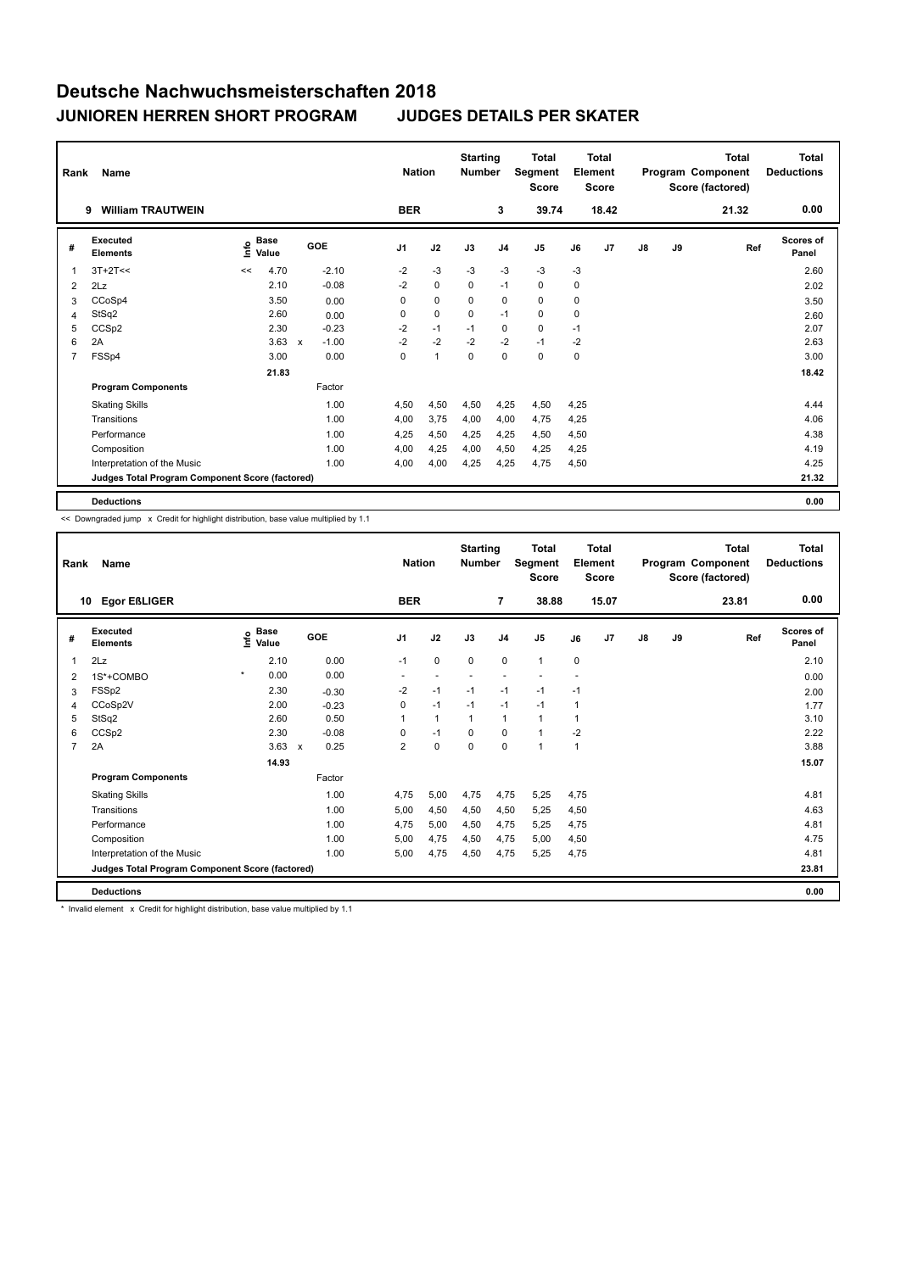| Rank           | Name                                            |      |                      |             |         |                | <b>Nation</b> | <b>Starting</b><br><b>Number</b> |                | <b>Total</b><br>Segment<br><b>Score</b> |      | <b>Total</b><br>Element<br><b>Score</b> |               |    | <b>Total</b><br>Program Component<br>Score (factored) | Total<br><b>Deductions</b> |
|----------------|-------------------------------------------------|------|----------------------|-------------|---------|----------------|---------------|----------------------------------|----------------|-----------------------------------------|------|-----------------------------------------|---------------|----|-------------------------------------------------------|----------------------------|
|                | <b>William TRAUTWEIN</b><br>9                   |      |                      |             |         | <b>BER</b>     |               |                                  | 3              | 39.74                                   |      | 18.42                                   |               |    | 21.32                                                 | 0.00                       |
| #              | Executed<br><b>Elements</b>                     | Info | <b>Base</b><br>Value |             | GOE     | J <sub>1</sub> | J2            | J3                               | J <sub>4</sub> | J5                                      | J6   | J7                                      | $\mathsf{J}8$ | J9 | Ref                                                   | <b>Scores of</b><br>Panel  |
| $\mathbf 1$    | $3T+2T<<$                                       | <<   | 4.70                 |             | $-2.10$ | $-2$           | $-3$          | $-3$                             | $-3$           | $-3$                                    | $-3$ |                                         |               |    |                                                       | 2.60                       |
| 2              | 2Lz                                             |      | 2.10                 |             | $-0.08$ | $-2$           | $\mathbf 0$   | 0                                | $-1$           | 0                                       | 0    |                                         |               |    |                                                       | 2.02                       |
| 3              | CCoSp4                                          |      | 3.50                 |             | 0.00    | 0              | $\mathbf 0$   | 0                                | $\mathbf 0$    | 0                                       | 0    |                                         |               |    |                                                       | 3.50                       |
| 4              | StSq2                                           |      | 2.60                 |             | 0.00    | 0              | $\mathbf 0$   | $\mathbf 0$                      | $-1$           | $\mathbf 0$                             | 0    |                                         |               |    |                                                       | 2.60                       |
| 5              | CCSp2                                           |      | 2.30                 |             | $-0.23$ | $-2$           | $-1$          | $-1$                             | $\mathbf 0$    | $\mathbf 0$                             | $-1$ |                                         |               |    |                                                       | 2.07                       |
| 6              | 2A                                              |      | 3.63                 | $\mathbf x$ | $-1.00$ | $-2$           | $-2$          | $-2$                             | $-2$           | $-1$                                    | $-2$ |                                         |               |    |                                                       | 2.63                       |
| $\overline{7}$ | FSSp4                                           |      | 3.00                 |             | 0.00    | 0              | $\mathbf{1}$  | $\mathbf 0$                      | $\mathbf 0$    | $\mathbf 0$                             | 0    |                                         |               |    |                                                       | 3.00                       |
|                |                                                 |      | 21.83                |             |         |                |               |                                  |                |                                         |      |                                         |               |    |                                                       | 18.42                      |
|                | <b>Program Components</b>                       |      |                      |             | Factor  |                |               |                                  |                |                                         |      |                                         |               |    |                                                       |                            |
|                | <b>Skating Skills</b>                           |      |                      |             | 1.00    | 4,50           | 4,50          | 4,50                             | 4,25           | 4,50                                    | 4,25 |                                         |               |    |                                                       | 4.44                       |
|                | Transitions                                     |      |                      |             | 1.00    | 4,00           | 3,75          | 4,00                             | 4,00           | 4,75                                    | 4,25 |                                         |               |    |                                                       | 4.06                       |
|                | Performance                                     |      |                      |             | 1.00    | 4,25           | 4,50          | 4.25                             | 4,25           | 4,50                                    | 4,50 |                                         |               |    |                                                       | 4.38                       |
|                | Composition                                     |      |                      |             | 1.00    | 4,00           | 4,25          | 4,00                             | 4,50           | 4,25                                    | 4,25 |                                         |               |    |                                                       | 4.19                       |
|                | Interpretation of the Music                     |      |                      |             | 1.00    | 4,00           | 4,00          | 4,25                             | 4,25           | 4,75                                    | 4,50 |                                         |               |    |                                                       | 4.25                       |
|                | Judges Total Program Component Score (factored) |      |                      |             |         |                |               |                                  |                |                                         |      |                                         |               |    |                                                       | 21.32                      |
|                | <b>Deductions</b>                               |      |                      |             |         |                |               |                                  |                |                                         |      |                                         |               |    |                                                       | 0.00                       |

<< Downgraded jump x Credit for highlight distribution, base value multiplied by 1.1

| Rank           | Name                                            |         |                      |                           |         | <b>Nation</b>  |              | <b>Starting</b><br><b>Number</b> |                | <b>Total</b><br>Segment<br><b>Score</b> |      | <b>Total</b><br>Element<br><b>Score</b> |               |    | <b>Total</b><br>Program Component<br>Score (factored) | <b>Total</b><br><b>Deductions</b> |
|----------------|-------------------------------------------------|---------|----------------------|---------------------------|---------|----------------|--------------|----------------------------------|----------------|-----------------------------------------|------|-----------------------------------------|---------------|----|-------------------------------------------------------|-----------------------------------|
| 10             | <b>Egor EßLIGER</b>                             |         |                      |                           |         | <b>BER</b>     |              |                                  | $\overline{7}$ | 38.88                                   |      | 15.07                                   |               |    | 23.81                                                 | 0.00                              |
| #              | Executed<br><b>Elements</b>                     | lnfo    | <b>Base</b><br>Value |                           | GOE     | J <sub>1</sub> | J2           | J3                               | J <sub>4</sub> | J <sub>5</sub>                          | J6   | J <sub>7</sub>                          | $\mathsf{J}8$ | J9 | Ref                                                   | <b>Scores of</b><br>Panel         |
| 1              | 2Lz                                             |         | 2.10                 |                           | 0.00    | $-1$           | $\mathbf 0$  | $\mathbf 0$                      | $\mathbf 0$    | $\mathbf{1}$                            | 0    |                                         |               |    |                                                       | 2.10                              |
| $\overline{2}$ | 1S*+COMBO                                       | $\star$ | 0.00                 |                           | 0.00    |                |              |                                  |                |                                         |      |                                         |               |    |                                                       | 0.00                              |
| 3              | FSSp2                                           |         | 2.30                 |                           | $-0.30$ | $-2$           | $-1$         | $-1$                             | $-1$           | $-1$                                    | $-1$ |                                         |               |    |                                                       | 2.00                              |
| $\overline{4}$ | CCoSp2V                                         |         | 2.00                 |                           | $-0.23$ | 0              | $-1$         | $-1$                             | $-1$           | $-1$                                    | 1    |                                         |               |    |                                                       | 1.77                              |
| 5              | StSq2                                           |         | 2.60                 |                           | 0.50    |                | $\mathbf{1}$ | $\mathbf{1}$                     | $\mathbf{1}$   | $\mathbf{1}$                            | 1    |                                         |               |    |                                                       | 3.10                              |
| 6              | CCSp2                                           |         | 2.30                 |                           | $-0.08$ | 0              | $-1$         | $\Omega$                         | $\mathbf 0$    | $\mathbf{1}$                            | $-2$ |                                         |               |    |                                                       | 2.22                              |
| $\overline{7}$ | 2A                                              |         | 3.63                 | $\boldsymbol{\mathsf{x}}$ | 0.25    | $\overline{2}$ | $\pmb{0}$    | $\mathbf 0$                      | $\mathbf 0$    | $\overline{1}$                          | 1    |                                         |               |    |                                                       | 3.88                              |
|                |                                                 |         | 14.93                |                           |         |                |              |                                  |                |                                         |      |                                         |               |    |                                                       | 15.07                             |
|                | <b>Program Components</b>                       |         |                      |                           | Factor  |                |              |                                  |                |                                         |      |                                         |               |    |                                                       |                                   |
|                | <b>Skating Skills</b>                           |         |                      |                           | 1.00    | 4,75           | 5,00         | 4,75                             | 4,75           | 5,25                                    | 4,75 |                                         |               |    |                                                       | 4.81                              |
|                | Transitions                                     |         |                      |                           | 1.00    | 5,00           | 4,50         | 4,50                             | 4,50           | 5,25                                    | 4,50 |                                         |               |    |                                                       | 4.63                              |
|                | Performance                                     |         |                      |                           | 1.00    | 4,75           | 5,00         | 4,50                             | 4,75           | 5,25                                    | 4,75 |                                         |               |    |                                                       | 4.81                              |
|                | Composition                                     |         |                      |                           | 1.00    | 5,00           | 4,75         | 4,50                             | 4,75           | 5,00                                    | 4,50 |                                         |               |    |                                                       | 4.75                              |
|                | Interpretation of the Music                     |         |                      |                           | 1.00    | 5,00           | 4,75         | 4,50                             | 4,75           | 5,25                                    | 4,75 |                                         |               |    |                                                       | 4.81                              |
|                | Judges Total Program Component Score (factored) |         |                      |                           |         |                |              |                                  |                |                                         |      |                                         |               |    |                                                       | 23.81                             |
|                | <b>Deductions</b>                               |         |                      |                           |         |                |              |                                  |                |                                         |      |                                         |               |    |                                                       | 0.00                              |

\* Invalid element x Credit for highlight distribution, base value multiplied by 1.1